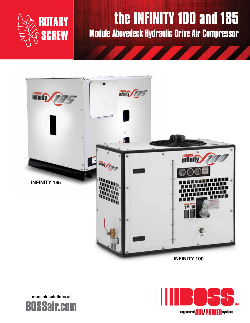

# **the INFINITY 100 and 185**

**Module Abovedeck Hydraulic Drive Air Compressor**





**more air solutions at**